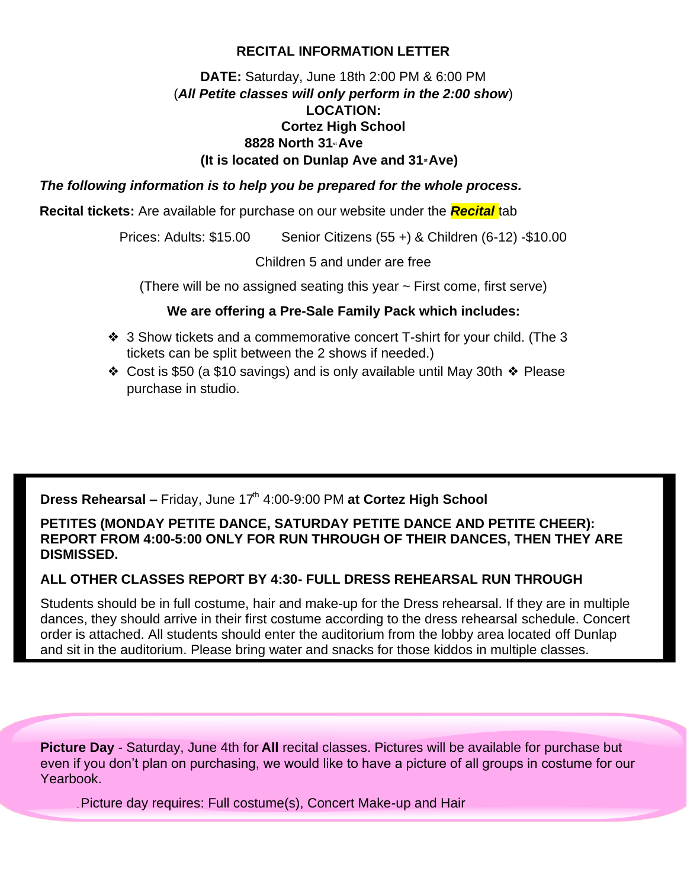## **RECITAL INFORMATION LETTER**

## **DATE:** Saturday, June 18th 2:00 PM & 6:00 PM (*All Petite classes will only perform in the 2:00 show*) **LOCATION: Cortez High School 8828 North 31st Ave (It is located on Dunlap Ave and 31st Ave)**

*The following information is to help you be prepared for the whole process.*

**Recital tickets:** Are available for purchase on our website under the *Recital* tab

Prices: Adults: \$15.00 Senior Citizens (55 +) & Children (6-12) -\$10.00

Children 5 and under are free

(There will be no assigned seating this year ~ First come, first serve)

#### **We are offering a Pre-Sale Family Pack which includes:**

- ❖ 3 Show tickets and a commemorative concert T-shirt for your child. (The 3 tickets can be split between the 2 shows if needed.)
- ❖ Cost is \$50 (a \$10 savings) and is only available until May 30th ❖ Please purchase in studio.

**Dress Rehearsal –** Friday, June 17<sup>th</sup> 4:00-9:00 PM at Cortez High School

## **PETITES (MONDAY PETITE DANCE, SATURDAY PETITE DANCE AND PETITE CHEER): REPORT FROM 4:00-5:00 ONLY FOR RUN THROUGH OF THEIR DANCES, THEN THEY ARE DISMISSED.**

### **ALL OTHER CLASSES REPORT BY 4:30- FULL DRESS REHEARSAL RUN THROUGH**

Students should be in full costume, hair and make-up for the Dress rehearsal. If they are in multiple dances, they should arrive in their first costume according to the dress rehearsal schedule. Concert order is attached. All students should enter the auditorium from the lobby area located off Dunlap and sit in the auditorium. Please bring water and snacks for those kiddos in multiple classes.

**Picture Day** - Saturday, June 4th for **All** recital classes. Pictures will be available for purchase but even if you don't plan on purchasing, we would like to have a picture of all groups in costume for our Yearbook.

Picture day requires: Full costume(s), Concert Make-up and Hair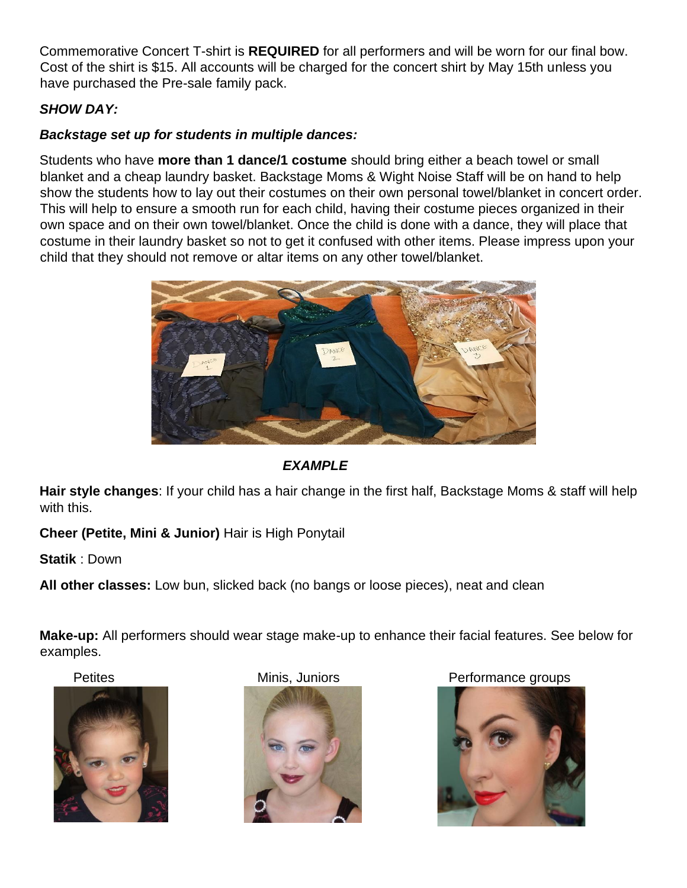Commemorative Concert T-shirt is **REQUIRED** for all performers and will be worn for our final bow. Cost of the shirt is \$15. All accounts will be charged for the concert shirt by May 15th unless you have purchased the Pre-sale family pack.

# *SHOW DAY:*

## *Backstage set up for students in multiple dances:*

Students who have **more than 1 dance/1 costume** should bring either a beach towel or small blanket and a cheap laundry basket. Backstage Moms & Wight Noise Staff will be on hand to help show the students how to lay out their costumes on their own personal towel/blanket in concert order. This will help to ensure a smooth run for each child, having their costume pieces organized in their own space and on their own towel/blanket. Once the child is done with a dance, they will place that costume in their laundry basket so not to get it confused with other items. Please impress upon your child that they should not remove or altar items on any other towel/blanket.



*EXAMPLE*

**Hair style changes**: If your child has a hair change in the first half, Backstage Moms & staff will help with this.

**Cheer (Petite, Mini & Junior)** Hair is High Ponytail

**Statik** : Down

**All other classes:** Low bun, slicked back (no bangs or loose pieces), neat and clean

**Make-up:** All performers should wear stage make-up to enhance their facial features. See below for examples.





Petites **Petites** Minis, Juniors **Performance groups**